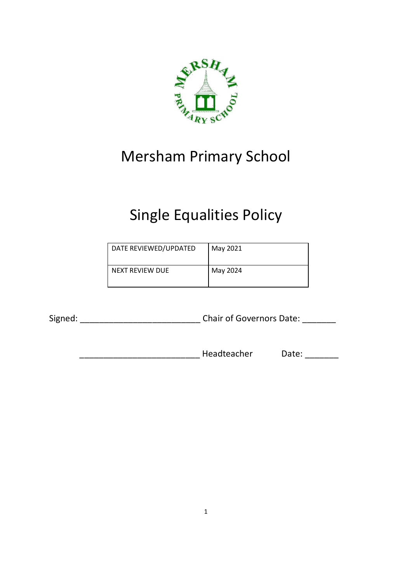

## Mersham Primary School

# Single Equalities Policy

| DATE REVIEWED/UPDATED | May 2021 |
|-----------------------|----------|
| NEXT REVIEW DUE       | May 2024 |

Signed: \_\_\_\_\_\_\_\_\_\_\_\_\_\_\_\_\_\_\_\_\_\_\_\_\_ Chair of Governors Date: \_\_\_\_\_\_\_

\_\_\_\_\_\_\_\_\_\_\_\_\_\_\_\_\_\_\_\_\_\_\_\_\_ Headteacher Date: \_\_\_\_\_\_\_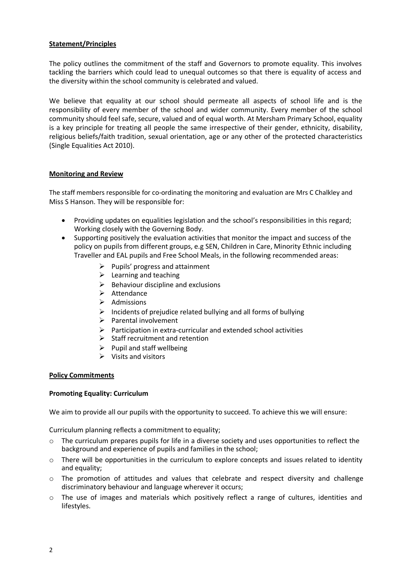### **Statement/Principles**

The policy outlines the commitment of the staff and Governors to promote equality. This involves tackling the barriers which could lead to unequal outcomes so that there is equality of access and the diversity within the school community is celebrated and valued.

We believe that equality at our school should permeate all aspects of school life and is the responsibility of every member of the school and wider community. Every member of the school community should feel safe, secure, valued and of equal worth. At Mersham Primary School, equality is a key principle for treating all people the same irrespective of their gender, ethnicity, disability, religious beliefs/faith tradition, sexual orientation, age or any other of the protected characteristics (Single Equalities Act 2010).

#### **Monitoring and Review**

The staff members responsible for co-ordinating the monitoring and evaluation are Mrs C Chalkley and Miss S Hanson. They will be responsible for:

- Providing updates on equalities legislation and the school's responsibilities in this regard; Working closely with the Governing Body.
- Supporting positively the evaluation activities that monitor the impact and success of the policy on pupils from different groups, e.g SEN, Children in Care, Minority Ethnic including Traveller and EAL pupils and Free School Meals, in the following recommended areas:
	- $\triangleright$  Pupils' progress and attainment
	- $\triangleright$  Learning and teaching
	- $\triangleright$  Behaviour discipline and exclusions
	- $\triangleright$  Attendance
	- $\triangleright$  Admissions
	- $\triangleright$  Incidents of prejudice related bullying and all forms of bullying
	- $\triangleright$  Parental involvement
	- $\triangleright$  Participation in extra-curricular and extended school activities
	- $\triangleright$  Staff recruitment and retention
	- $\triangleright$  Pupil and staff wellbeing
	- $\triangleright$  Visits and visitors

#### **Policy Commitments**

#### **Promoting Equality: Curriculum**

We aim to provide all our pupils with the opportunity to succeed. To achieve this we will ensure:

Curriculum planning reflects a commitment to equality;

- $\circ$  The curriculum prepares pupils for life in a diverse society and uses opportunities to reflect the background and experience of pupils and families in the school;
- $\circ$  There will be opportunities in the curriculum to explore concepts and issues related to identity and equality;
- o The promotion of attitudes and values that celebrate and respect diversity and challenge discriminatory behaviour and language wherever it occurs;
- $\circ$  The use of images and materials which positively reflect a range of cultures, identities and lifestyles.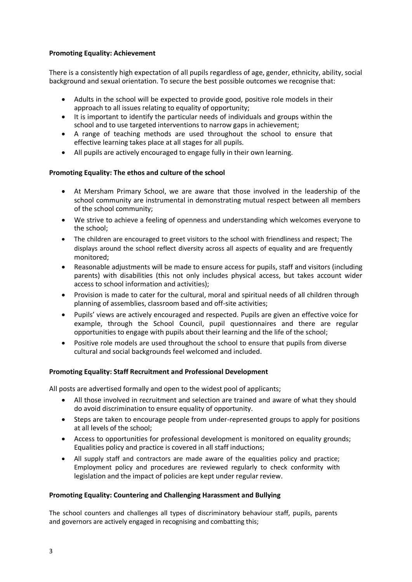#### **Promoting Equality: Achievement**

There is a consistently high expectation of all pupils regardless of age, gender, ethnicity, ability, social background and sexual orientation. To secure the best possible outcomes we recognise that:

- Adults in the school will be expected to provide good, positive role models in their approach to all issues relating to equality of opportunity;
- It is important to identify the particular needs of individuals and groups within the school and to use targeted interventions to narrow gaps in achievement;
- A range of teaching methods are used throughout the school to ensure that effective learning takes place at all stages for all pupils.
- All pupils are actively encouraged to engage fully in their own learning.

#### **Promoting Equality: The ethos and culture of the school**

- At Mersham Primary School, we are aware that those involved in the leadership of the school community are instrumental in demonstrating mutual respect between all members of the school community;
- We strive to achieve a feeling of openness and understanding which welcomes everyone to the school;
- The children are encouraged to greet visitors to the school with friendliness and respect; The displays around the school reflect diversity across all aspects of equality and are frequently monitored;
- Reasonable adjustments will be made to ensure access for pupils, staff and visitors (including parents) with disabilities (this not only includes physical access, but takes account wider access to school information and activities);
- Provision is made to cater for the cultural, moral and spiritual needs of all children through planning of assemblies, classroom based and off-site activities;
- Pupils' views are actively encouraged and respected. Pupils are given an effective voice for example, through the School Council, pupil questionnaires and there are regular opportunities to engage with pupils about their learning and the life of the school;
- Positive role models are used throughout the school to ensure that pupils from diverse cultural and social backgrounds feel welcomed and included.

#### **Promoting Equality: Staff Recruitment and Professional Development**

All posts are advertised formally and open to the widest pool of applicants;

- All those involved in recruitment and selection are trained and aware of what they should do avoid discrimination to ensure equality of opportunity.
- Steps are taken to encourage people from under-represented groups to apply for positions at all levels of the school;
- Access to opportunities for professional development is monitored on equality grounds; Equalities policy and practice is covered in all staff inductions;
- All supply staff and contractors are made aware of the equalities policy and practice; Employment policy and procedures are reviewed regularly to check conformity with legislation and the impact of policies are kept under regular review.

#### **Promoting Equality: Countering and Challenging Harassment and Bullying**

The school counters and challenges all types of discriminatory behaviour staff, pupils, parents and governors are actively engaged in recognising and combatting this;